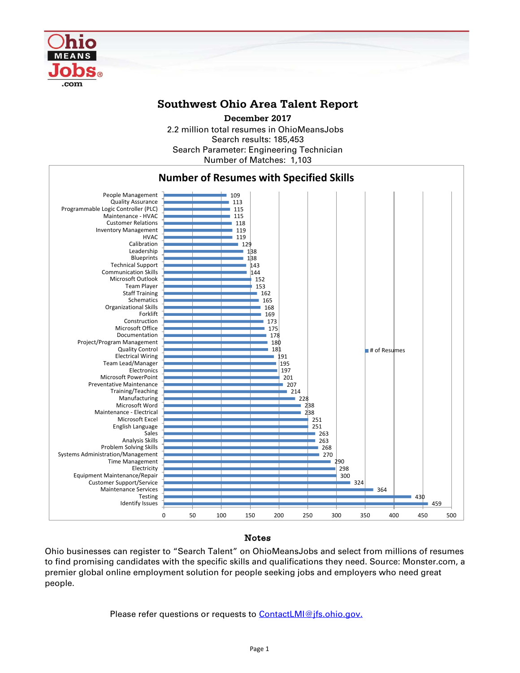

## **Southwest Ohio Area Talent Report**

2.2 million total resumes in OhioMeansJobs Search results: 185,453 Number of Matches: 1,103 Search Parameter: Engineering Technician **December 2017**



### Notes

Ohio businesses can register to "Search Talent" on OhioMeansJobs and select from millions of resumes to find promising candidates with the specific skills and qualifications they need. Source: Monster.com, a premier global online employment solution for people seeking jobs and employers who need great people.

Please refer questions or requests to [ContactLMI@jfs.ohio.gov.](mailto:ContactLMI@jfs.ohio.gov.)